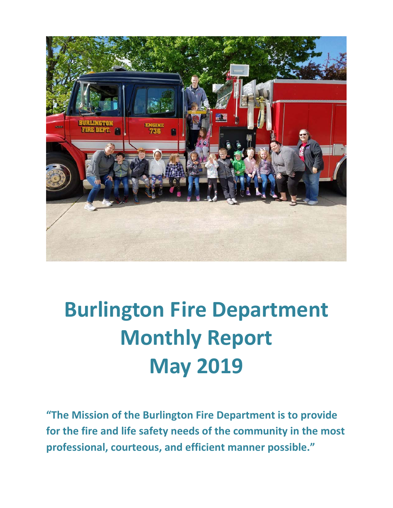

# **Burlington Fire Department Monthly Report May 2019**

**"The Mission of the Burlington Fire Department is to provide for the fire and life safety needs of the community in the most professional, courteous, and efficient manner possible."**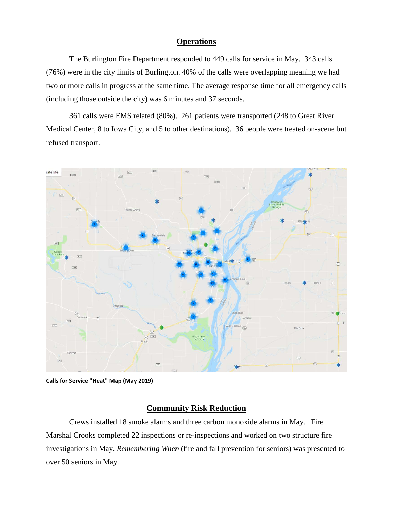#### **Operations**

The Burlington Fire Department responded to 449 calls for service in May. 343 calls (76%) were in the city limits of Burlington. 40% of the calls were overlapping meaning we had two or more calls in progress at the same time. The average response time for all emergency calls (including those outside the city) was 6 minutes and 37 seconds.

361 calls were EMS related (80%). 261 patients were transported (248 to Great River Medical Center, 8 to Iowa City, and 5 to other destinations). 36 people were treated on-scene but refused transport.



**Calls for Service "Heat" Map (May 2019)**

#### **Community Risk Reduction**

Crews installed 18 smoke alarms and three carbon monoxide alarms in May. Fire Marshal Crooks completed 22 inspections or re-inspections and worked on two structure fire investigations in May. *Remembering When* (fire and fall prevention for seniors) was presented to over 50 seniors in May.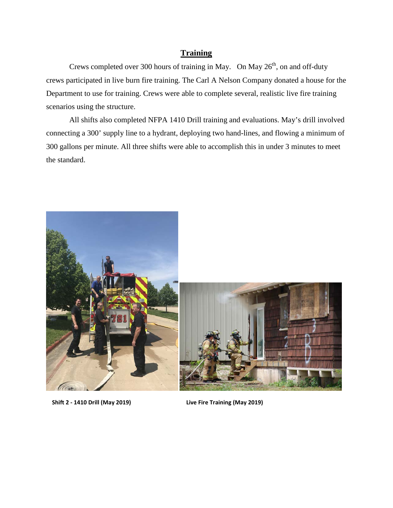#### **Training**

Crews completed over 300 hours of training in May. On May  $26<sup>th</sup>$ , on and off-duty crews participated in live burn fire training. The Carl A Nelson Company donated a house for the Department to use for training. Crews were able to complete several, realistic live fire training scenarios using the structure.

All shifts also completed NFPA 1410 Drill training and evaluations. May's drill involved connecting a 300' supply line to a hydrant, deploying two hand-lines, and flowing a minimum of 300 gallons per minute. All three shifts were able to accomplish this in under 3 minutes to meet the standard.



 **Shift 2 - 1410 Drill (May 2019) Live Fire Training (May 2019)**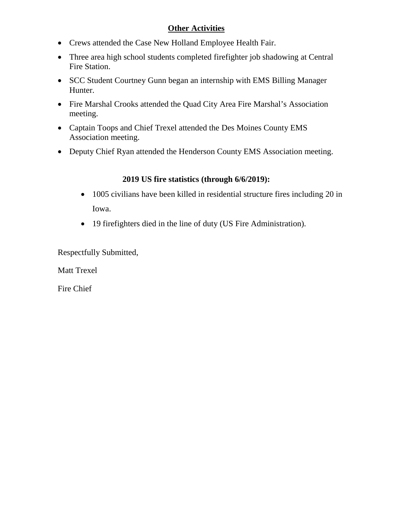### **Other Activities**

- Crews attended the Case New Holland Employee Health Fair.
- Three area high school students completed firefighter job shadowing at Central Fire Station.
- SCC Student Courtney Gunn began an internship with EMS Billing Manager Hunter.
- Fire Marshal Crooks attended the Quad City Area Fire Marshal's Association meeting.
- Captain Toops and Chief Trexel attended the Des Moines County EMS Association meeting.
- Deputy Chief Ryan attended the Henderson County EMS Association meeting.

### **2019 US fire statistics (through 6/6/2019):**

- 1005 civilians have been killed in residential structure fires including 20 in Iowa.
- 19 firefighters died in the line of duty (US Fire Administration).

Respectfully Submitted,

Matt Trexel

Fire Chief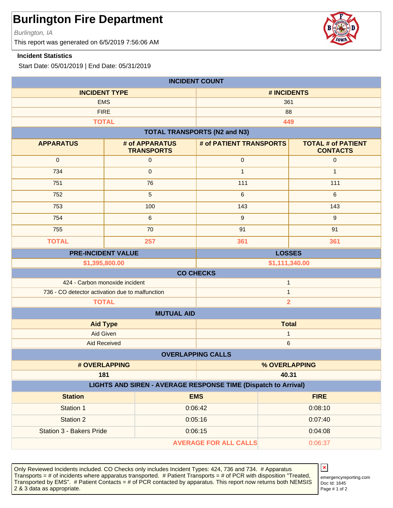Burlington, IA

This report was generated on 6/5/2019 7:56:06 AM

#### **Incident Statistics**

Start Date: 05/01/2019 | End Date: 05/31/2019

| <b>INCIDENT COUNT</b>                                                        |                                                          |                                     |                                              |
|------------------------------------------------------------------------------|----------------------------------------------------------|-------------------------------------|----------------------------------------------|
| <b>INCIDENT TYPE</b>                                                         |                                                          | # INCIDENTS                         |                                              |
| <b>EMS</b>                                                                   |                                                          | 361                                 |                                              |
| <b>FIRE</b>                                                                  |                                                          | 88                                  |                                              |
|                                                                              | <b>TOTAL</b>                                             |                                     | 449                                          |
|                                                                              |                                                          | <b>TOTAL TRANSPORTS (N2 and N3)</b> |                                              |
| <b>APPARATUS</b>                                                             | # of APPARATUS<br><b>TRANSPORTS</b>                      | # of PATIENT TRANSPORTS             | <b>TOTAL # of PATIENT</b><br><b>CONTACTS</b> |
| $\mathbf 0$                                                                  | $\mathsf{O}\xspace$                                      | $\pmb{0}$                           | $\pmb{0}$                                    |
| 734                                                                          | $\pmb{0}$                                                | $\mathbf{1}$                        | $\mathbf{1}$                                 |
| 751                                                                          | 76                                                       | 111                                 | 111                                          |
| 752                                                                          | 5                                                        | $\,6\,$                             | 6                                            |
| 753                                                                          | 100                                                      | 143                                 | 143                                          |
| 754                                                                          | 6                                                        | $\mathsf g$                         | $\overline{9}$                               |
| 755                                                                          | 70                                                       | 91                                  | 91                                           |
| <b>TOTAL</b>                                                                 | 257                                                      | 361                                 | 361                                          |
| <b>LOSSES</b><br><b>PRE-INCIDENT VALUE</b>                                   |                                                          |                                     |                                              |
| \$1,395,800.00<br>\$1,111,340.00                                             |                                                          |                                     |                                              |
| <b>CO CHECKS</b>                                                             |                                                          |                                     |                                              |
| 424 - Carbon monoxide incident<br>$\mathbf{1}$                               |                                                          |                                     |                                              |
| 736 - CO detector activation due to malfunction<br>$\mathbf{1}$              |                                                          |                                     |                                              |
|                                                                              | <b>TOTAL</b>                                             |                                     | $\overline{2}$                               |
|                                                                              | <b>MUTUAL AID</b>                                        |                                     |                                              |
|                                                                              | <b>Aid Type</b>                                          | <b>Total</b>                        |                                              |
| Aid Given                                                                    |                                                          | 1                                   |                                              |
|                                                                              | <b>Aid Received</b><br>$\,6$<br><b>OVERLAPPING CALLS</b> |                                     |                                              |
|                                                                              |                                                          |                                     |                                              |
|                                                                              | # OVERLAPPING                                            |                                     | % OVERLAPPING<br>40.31                       |
| 181<br><b>LIGHTS AND SIREN - AVERAGE RESPONSE TIME (Dispatch to Arrival)</b> |                                                          |                                     |                                              |
| <b>Station</b>                                                               |                                                          | <b>EMS</b>                          | <b>FIRE</b>                                  |
| Station 1                                                                    |                                                          | 0:06:42                             | 0:08:10                                      |
| <b>Station 2</b>                                                             |                                                          | 0:05:16                             | 0:07:40                                      |
| Station 3 - Bakers Pride                                                     |                                                          | 0:06:15                             | 0:04:08                                      |
|                                                                              |                                                          | <b>AVERAGE FOR ALL CALLS</b>        | 0:06:37                                      |
|                                                                              |                                                          |                                     |                                              |

Only Reviewed Incidents included. CO Checks only includes Incident Types: 424, 736 and 734. # Apparatus Transports = # of incidents where apparatus transported. # Patient Transports = # of PCR with disposition "Treated, Transported by EMS". # Patient Contacts = # of PCR contacted by apparatus. This report now returns both NEMSIS 2 & 3 data as appropriate. The set of 2 set of 2 set of 2 set of 2 set of 2 set of 2 set of 2 set of 2 set of 2

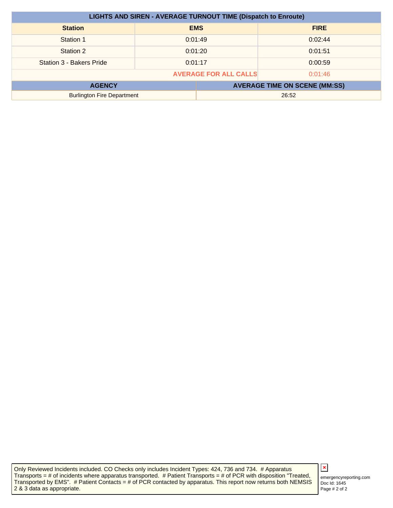| <b>LIGHTS AND SIREN - AVERAGE TURNOUT TIME (Dispatch to Enroute)</b> |         |            |                                      |
|----------------------------------------------------------------------|---------|------------|--------------------------------------|
| <b>Station</b>                                                       |         | <b>EMS</b> | <b>FIRE</b>                          |
| Station 1                                                            | 0:01:49 |            | 0:02:44                              |
| Station 2                                                            | 0:01:20 |            | 0:01:51                              |
| Station 3 - Bakers Pride                                             | 0:01:17 |            | 0:00:59                              |
| <b>AVERAGE FOR ALL CALLS</b><br>0:01:46                              |         |            |                                      |
| <b>AGENCY</b>                                                        |         |            | <b>AVERAGE TIME ON SCENE (MM:SS)</b> |
| <b>Burlington Fire Department</b>                                    |         |            | 26:52                                |

Only Reviewed Incidents included. CO Checks only includes Incident Types: 424, 736 and 734. # Apparatus Transports = # of incidents where apparatus transported. # Patient Transports = # of PCR with disposition "Treated, Transported by EMS". # Patient Contacts = # of PCR contacted by apparatus. This report now returns both NEMSIS 2 & 3 data as appropriate.

## $\pmb{\times}$

Doc Id: 1645 emergencyreporting.com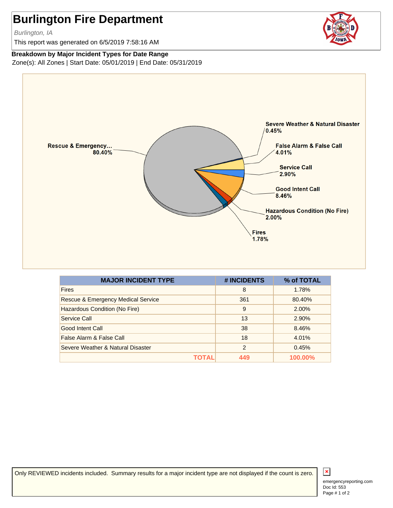Burlington, IA

This report was generated on 6/5/2019 7:58:16 AM



#### **Breakdown by Major Incident Types for Date Range**

Zone(s): All Zones | Start Date: 05/01/2019 | End Date: 05/31/2019



| <b>MAJOR INCIDENT TYPE</b>                    | # INCIDENTS   | % of TOTAL |
|-----------------------------------------------|---------------|------------|
| <b>Fires</b>                                  | 8             | 1.78%      |
| <b>Rescue &amp; Emergency Medical Service</b> | 361           | 80.40%     |
| Hazardous Condition (No Fire)                 | 9             | 2.00%      |
| Service Call                                  | 13            | 2.90%      |
| Good Intent Call                              | 38            | 8.46%      |
| False Alarm & False Call                      | 18            | 4.01%      |
| Severe Weather & Natural Disaster             | $\mathcal{P}$ | 0.45%      |
|                                               | 449           | 100.00%    |

Only REVIEWED incidents included. Summary results for a major incident type are not displayed if the count is zero.

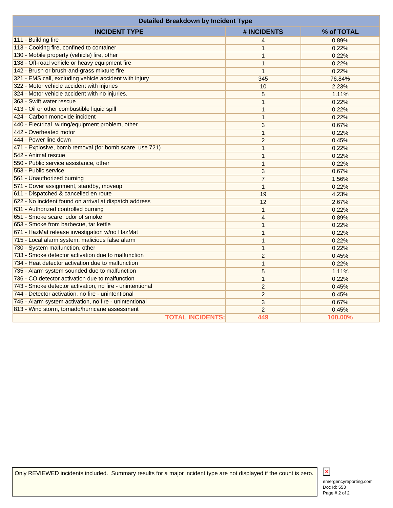| <b>Detailed Breakdown by Incident Type</b>               |                |            |
|----------------------------------------------------------|----------------|------------|
| <b>INCIDENT TYPE</b>                                     | # INCIDENTS    | % of TOTAL |
| 111 - Building fire                                      | 4              | 0.89%      |
| 113 - Cooking fire, confined to container                | 1              | 0.22%      |
| 130 - Mobile property (vehicle) fire, other              | $\mathbf{1}$   | 0.22%      |
| 138 - Off-road vehicle or heavy equipment fire           | $\mathbf{1}$   | 0.22%      |
| 142 - Brush or brush-and-grass mixture fire              | $\mathbf{1}$   | 0.22%      |
| 321 - EMS call, excluding vehicle accident with injury   | 345            | 76.84%     |
| 322 - Motor vehicle accident with injuries               | 10             | 2.23%      |
| 324 - Motor vehicle accident with no injuries.           | 5              | 1.11%      |
| 363 - Swift water rescue                                 | $\mathbf{1}$   | 0.22%      |
| 413 - Oil or other combustible liquid spill              | $\mathbf{1}$   | 0.22%      |
| 424 - Carbon monoxide incident                           | $\mathbf{1}$   | 0.22%      |
| 440 - Electrical wiring/equipment problem, other         | 3              | 0.67%      |
| 442 - Overheated motor                                   | $\mathbf{1}$   | 0.22%      |
| 444 - Power line down                                    | $\overline{c}$ | 0.45%      |
| 471 - Explosive, bomb removal (for bomb scare, use 721)  | $\mathbf{1}$   | 0.22%      |
| 542 - Animal rescue                                      | $\mathbf{1}$   | 0.22%      |
| 550 - Public service assistance, other                   | $\mathbf{1}$   | 0.22%      |
| 553 - Public service                                     | 3              | 0.67%      |
| 561 - Unauthorized burning                               | $\overline{7}$ | 1.56%      |
| 571 - Cover assignment, standby, moveup                  | $\mathbf{1}$   | 0.22%      |
| 611 - Dispatched & cancelled en route                    | 19             | 4.23%      |
| 622 - No incident found on arrival at dispatch address   | 12             | 2.67%      |
| 631 - Authorized controlled burning                      | $\mathbf{1}$   | 0.22%      |
| 651 - Smoke scare, odor of smoke                         | $\overline{4}$ | 0.89%      |
| 653 - Smoke from barbecue, tar kettle                    | $\mathbf{1}$   | 0.22%      |
| 671 - HazMat release investigation w/no HazMat           | 1              | 0.22%      |
| 715 - Local alarm system, malicious false alarm          | $\mathbf{1}$   | 0.22%      |
| 730 - System malfunction, other                          | $\mathbf{1}$   | 0.22%      |
| 733 - Smoke detector activation due to malfunction       | $\overline{2}$ | 0.45%      |
| 734 - Heat detector activation due to malfunction        | 1              | 0.22%      |
| 735 - Alarm system sounded due to malfunction            | 5              | 1.11%      |
| 736 - CO detector activation due to malfunction          | 1              | 0.22%      |
| 743 - Smoke detector activation, no fire - unintentional | $\overline{2}$ | 0.45%      |
| 744 - Detector activation, no fire - unintentional       | $\overline{2}$ | 0.45%      |
| 745 - Alarm system activation, no fire - unintentional   | 3              | 0.67%      |
| 813 - Wind storm, tornado/hurricane assessment           | $\overline{c}$ | 0.45%      |
| <b>TOTAL INCIDENTS:</b>                                  | 449            | 100.00%    |

Only REVIEWED incidents included. Summary results for a major incident type are not displayed if the count is zero.



Doc Id: 553 emergencyreporting.com Page # 2 of 2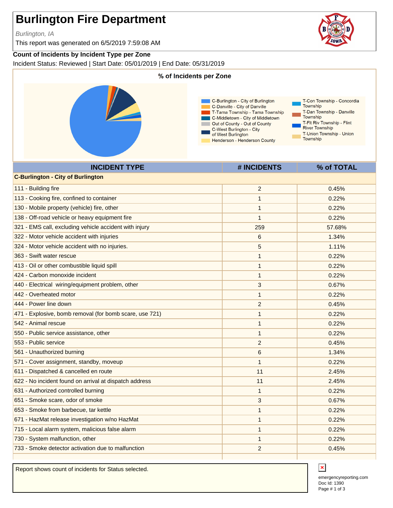Burlington, IA

This report was generated on 6/5/2019 7:59:08 AM

#### **Count of Incidents by Incident Type per Zone**

Incident Status: Reviewed | Start Date: 05/01/2019 | End Date: 05/31/2019



| <b>C-Burlington - City of Burlington</b>                |                |        |
|---------------------------------------------------------|----------------|--------|
| 111 - Building fire                                     | $\overline{c}$ | 0.45%  |
| 113 - Cooking fire, confined to container               | 1              | 0.22%  |
| 130 - Mobile property (vehicle) fire, other             | 1              | 0.22%  |
| 138 - Off-road vehicle or heavy equipment fire          | $\mathbf{1}$   | 0.22%  |
| 321 - EMS call, excluding vehicle accident with injury  | 259            | 57.68% |
| 322 - Motor vehicle accident with injuries              | 6              | 1.34%  |
| 324 - Motor vehicle accident with no injuries.          | $\sqrt{5}$     | 1.11%  |
| 363 - Swift water rescue                                | 1              | 0.22%  |
| 413 - Oil or other combustible liquid spill             | 1              | 0.22%  |
| 424 - Carbon monoxide incident                          | 1              | 0.22%  |
| 440 - Electrical wiring/equipment problem, other        | 3              | 0.67%  |
| 442 - Overheated motor                                  | $\mathbf{1}$   | 0.22%  |
| 444 - Power line down                                   | $\overline{2}$ | 0.45%  |
| 471 - Explosive, bomb removal (for bomb scare, use 721) | 1              | 0.22%  |
| 542 - Animal rescue                                     | 1              | 0.22%  |
| 550 - Public service assistance, other                  | $\mathbf{1}$   | 0.22%  |
| 553 - Public service                                    | $\overline{2}$ | 0.45%  |
| 561 - Unauthorized burning                              | 6              | 1.34%  |
| 571 - Cover assignment, standby, moveup                 | 1              | 0.22%  |
| 611 - Dispatched & cancelled en route                   | 11             | 2.45%  |
| 622 - No incident found on arrival at dispatch address  | 11             | 2.45%  |
| 631 - Authorized controlled burning                     | $\mathbf{1}$   | 0.22%  |
| 651 - Smoke scare, odor of smoke                        | 3              | 0.67%  |
| 653 - Smoke from barbecue, tar kettle                   | $\mathbf{1}$   | 0.22%  |
| 671 - HazMat release investigation w/no HazMat          | 1              | 0.22%  |
| 715 - Local alarm system, malicious false alarm         | $\mathbf{1}$   | 0.22%  |
| 730 - System malfunction, other                         | 1              | 0.22%  |
| 733 - Smoke detector activation due to malfunction      | 2              | 0.45%  |
|                                                         |                |        |

Report shows count of incidents for Status selected.

Doc Id: 1390 emergencyreporting.com Page # 1 of 3



 $\mathbf x$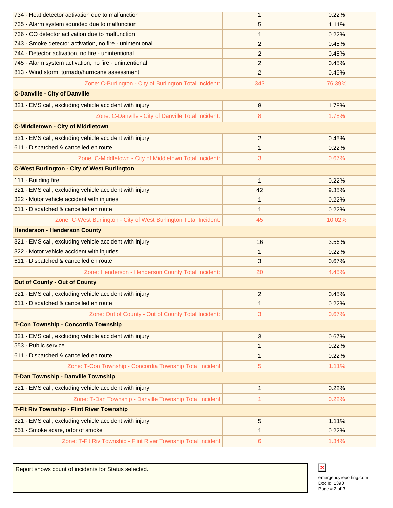| 734 - Heat detector activation due to malfunction                 | 1              | 0.22%  |
|-------------------------------------------------------------------|----------------|--------|
| 735 - Alarm system sounded due to malfunction                     | 5              | 1.11%  |
| 736 - CO detector activation due to malfunction                   | 1              | 0.22%  |
| 743 - Smoke detector activation, no fire - unintentional          | 2              | 0.45%  |
| 744 - Detector activation, no fire - unintentional                | $\overline{2}$ | 0.45%  |
| 745 - Alarm system activation, no fire - unintentional            | 2              | 0.45%  |
| 813 - Wind storm, tornado/hurricane assessment                    | $\overline{2}$ | 0.45%  |
| Zone: C-Burlington - City of Burlington Total Incident:           | 343            | 76.39% |
| <b>C-Danville - City of Danville</b>                              |                |        |
| 321 - EMS call, excluding vehicle accident with injury            | $\bf 8$        | 1.78%  |
| Zone: C-Danville - City of Danville Total Incident:               | 8              | 1.78%  |
| <b>C-Middletown - City of Middletown</b>                          |                |        |
| 321 - EMS call, excluding vehicle accident with injury            | 2              | 0.45%  |
| 611 - Dispatched & cancelled en route                             | $\mathbf{1}$   | 0.22%  |
| Zone: C-Middletown - City of Middletown Total Incident:           | 3              | 0.67%  |
| <b>C-West Burlington - City of West Burlington</b>                |                |        |
| 111 - Building fire                                               | $\mathbf{1}$   | 0.22%  |
| 321 - EMS call, excluding vehicle accident with injury            | 42             | 9.35%  |
| 322 - Motor vehicle accident with injuries                        | 1              | 0.22%  |
| 611 - Dispatched & cancelled en route                             | 1              | 0.22%  |
| Zone: C-West Burlington - City of West Burlington Total Incident: | 45             | 10.02% |
| <b>Henderson - Henderson County</b>                               |                |        |
| 321 - EMS call, excluding vehicle accident with injury            | 16             | 3.56%  |
| 322 - Motor vehicle accident with injuries                        | $\mathbf{1}$   | 0.22%  |
| 611 - Dispatched & cancelled en route                             | 3              | 0.67%  |
| Zone: Henderson - Henderson County Total Incident:                | 20             | 4.45%  |
| <b>Out of County - Out of County</b>                              |                |        |
| 321 - EMS call, excluding vehicle accident with injury            | $\overline{2}$ | 0.45%  |
| 611 - Dispatched & cancelled en route                             | 1              | 0.22%  |
| Zone: Out of County - Out of County Total Incident:               | 3              | 0.67%  |
| T-Con Township - Concordia Township                               |                |        |
| 321 - EMS call, excluding vehicle accident with injury            | 3              | 0.67%  |
| 553 - Public service                                              | 1              | 0.22%  |
| 611 - Dispatched & cancelled en route                             | 1              | 0.22%  |
| Zone: T-Con Township - Concordia Township Total Incident:         | 5              | 1.11%  |
| T-Dan Township - Danville Township                                |                |        |
| 321 - EMS call, excluding vehicle accident with injury            | $\mathbf{1}$   | 0.22%  |
| Zone: T-Dan Township - Danville Township Total Incident:          | 1              | 0.22%  |
| <b>T-Fit Riv Township - Flint River Township</b>                  |                |        |
| 321 - EMS call, excluding vehicle accident with injury            | $\sqrt{5}$     | 1.11%  |
| 651 - Smoke scare, odor of smoke                                  | 1              | 0.22%  |
| Zone: T-Flt Riv Township - Flint River Township Total Incident:   | 6              | 1.34%  |

Report shows count of incidents for Status selected.

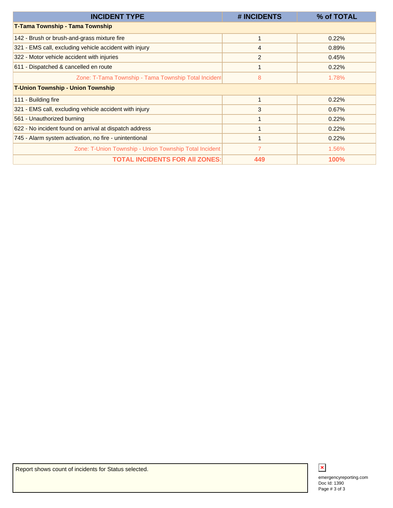| <b>INCIDENT TYPE</b>                                    | # INCIDENTS | % of TOTAL  |
|---------------------------------------------------------|-------------|-------------|
| T-Tama Township - Tama Township                         |             |             |
| 142 - Brush or brush-and-grass mixture fire             |             | 0.22%       |
| 321 - EMS call, excluding vehicle accident with injury  | 4           | 0.89%       |
| 322 - Motor vehicle accident with injuries              | 2           | 0.45%       |
| 611 - Dispatched & cancelled en route                   |             | 0.22%       |
| Zone: T-Tama Township - Tama Township Total Incident    | 8           | 1.78%       |
| <b>T-Union Township - Union Township</b>                |             |             |
| 111 - Building fire                                     |             | 0.22%       |
| 321 - EMS call, excluding vehicle accident with injury  | 3           | 0.67%       |
| 561 - Unauthorized burning                              |             | 0.22%       |
| 622 - No incident found on arrival at dispatch address  |             | 0.22%       |
| 745 - Alarm system activation, no fire - unintentional  |             | 0.22%       |
| Zone: T-Union Township - Union Township Total Incident: | 7           | 1.56%       |
| <b>TOTAL INCIDENTS FOR AII ZONES:</b>                   | 449         | <b>100%</b> |

Page # 3 of 3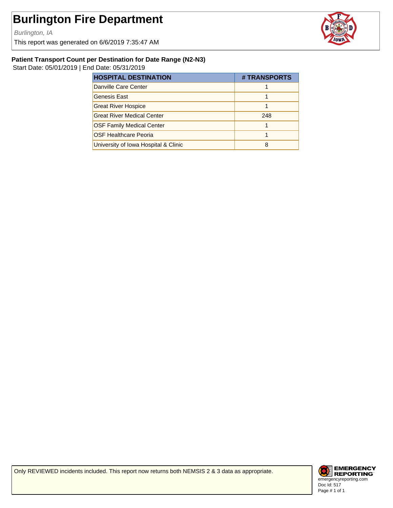Burlington, IA

This report was generated on 6/6/2019 7:35:47 AM



#### **Patient Transport Count per Destination for Date Range (N2-N3)**

Start Date: 05/01/2019 | End Date: 05/31/2019

| <b>HOSPITAL DESTINATION</b>          | # TRANSPORTS |
|--------------------------------------|--------------|
| Danville Care Center                 |              |
| Genesis East                         |              |
| <b>Great River Hospice</b>           |              |
| <b>Great River Medical Center</b>    | 248          |
| <b>OSF Family Medical Center</b>     |              |
| <b>OSF Healthcare Peoria</b>         |              |
| University of Iowa Hospital & Clinic |              |

Only REVIEWED incidents included. This report now returns both NEMSIS 2 & 3 data as appropriate.

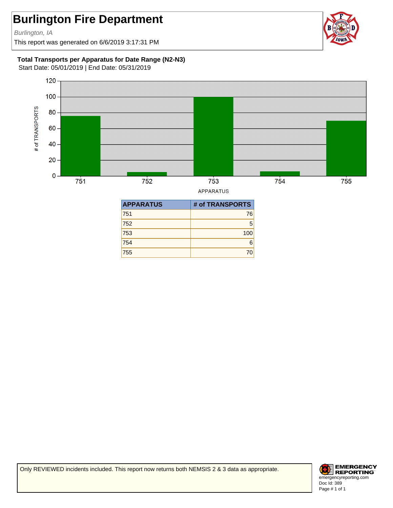Burlington, IA

This report was generated on 6/6/2019 3:17:31 PM



#### **Total Transports per Apparatus for Date Range (N2-N3)**

Start Date: 05/01/2019 | End Date: 05/31/2019



**APPARATUS** 

| <b>APPARATUS</b> | # of TRANSPORTS |
|------------------|-----------------|
| 751              | 76              |
| 752              | 5               |
| 753              | 100             |
| 754              | 6               |
| 755              | 70              |

Only REVIEWED incidents included. This report now returns both NEMSIS 2 & 3 data as appropriate.

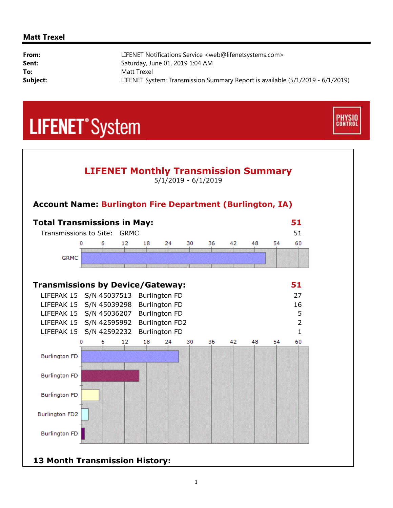#### **Matt Trexel**

i,

| From:    | LIFENET Notifications Service <web@lifenetsystems.com></web@lifenetsystems.com> |
|----------|---------------------------------------------------------------------------------|
| Sent:    | Saturday, June 01, 2019 1:04 AM                                                 |
| To:      | Matt Trexel                                                                     |
| Subject: | LIFENET System: Transmission Summary Report is available (5/1/2019 - 6/1/2019)  |

**PHYSIO**<br>CONTROL

# **LIFENET**<sup>\*</sup>System



**13 Month Transmission History:**